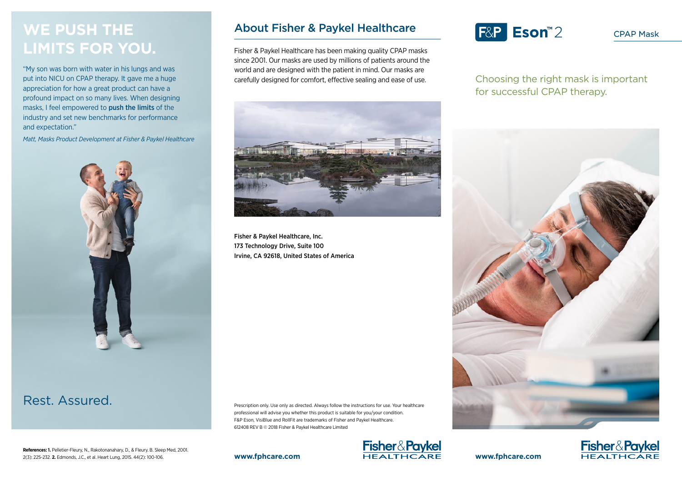## **WE PUSH THE LIMITS FOR YOU.**

"My son was born with water in his lungs and was put into NICU on CPAP therapy. It gave me a huge appreciation for how a great product can have a profound impact on so many lives. When designing masks, I feel empowered to push the limits of the industry and set new benchmarks for performance and expectation."

*Matt, Masks Product Development at Fisher & Paykel Healthcare*



### Rest. Assured.

**References: 1.** Pelletier-Fleury, N., Rakotonanahary, D., & Fleury. B. Sleep Med, 2001. 2(3): 225-232. **2.** Edmonds, J.C., et al. Heart Lung, 2015. 44(2): 100-106.

### About Fisher & Paykel Healthcare

Fisher & Paykel Healthcare has been making quality CPAP masks since 2001. Our masks are used by millions of patients around the world and are designed with the patient in mind. Our masks are carefully designed for comfort, effective sealing and ease of use.



Fisher & Paykel Healthcare, Inc. 173 Technology Drive, Suite 100 Irvine, CA 92618, United States of America

Prescription only. Use only as directed. Always follow the instructions for use. Your healthcare professional will advise you whether this product is suitable for you/your condition. F&P Eson, VisiBlue and RollFit are trademarks of Fisher and Paykel Healthcare. 612408 REV B © 2018 Fisher & Paykel Healthcare Limited



# F&P Eson<sup>™2</sup>

CPAP Mask

Choosing the right mask is important for successful CPAP therapy.